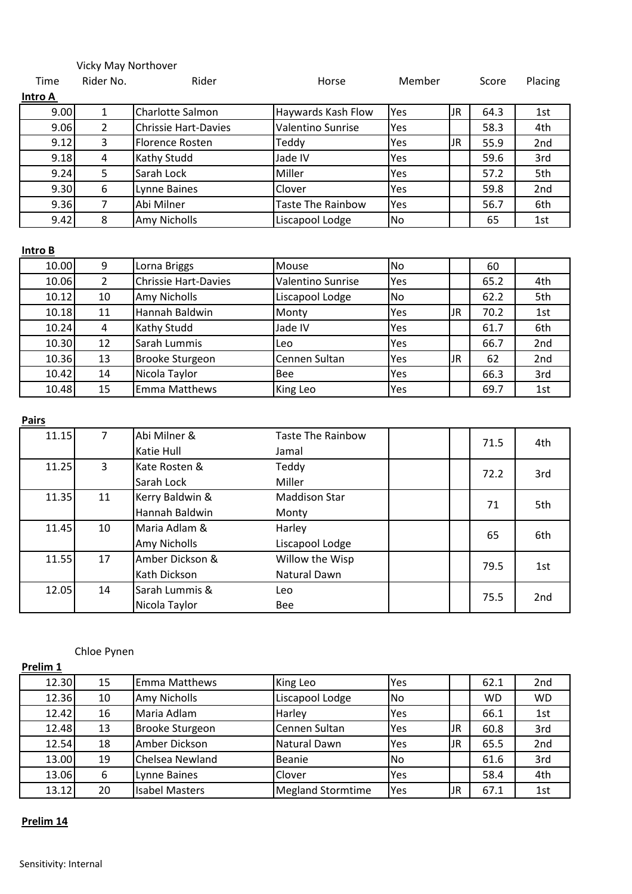# Vicky May Northover

| Time    | Rider No. | Rider                       | Horse                    | Member |    | Score | Placing |
|---------|-----------|-----------------------------|--------------------------|--------|----|-------|---------|
| Intro A |           |                             |                          |        |    |       |         |
| 9.00    |           | Charlotte Salmon            | Haywards Kash Flow       | Yes    | JR | 64.3  | 1st     |
| 9.06    | 2         | <b>Chrissie Hart-Davies</b> | <b>Valentino Sunrise</b> | Yes    |    | 58.3  | 4th     |
| 9.12    | 3         | <b>Florence Rosten</b>      | Teddy                    | Yes    | JR | 55.9  | 2nd     |
| 9.18    | 4         | Kathy Studd                 | Jade IV                  | Yes    |    | 59.6  | 3rd     |
| 9.24    | 5         | Sarah Lock                  | Miller                   | Yes    |    | 57.2  | 5th     |
| 9.30    | 6         | Lynne Baines                | Clover                   | Yes    |    | 59.8  | 2nd     |
| 9.36    | 7         | Abi Milner                  | <b>Taste The Rainbow</b> | Yes    |    | 56.7  | 6th     |
| 9.42    | 8         | Amy Nicholls                | Liscapool Lodge          | No     |    | 65    | 1st     |

### **Intro B**

| 10.00 | 9              | Lorna Briggs                | Mouse             | No        |    | 60   |     |
|-------|----------------|-----------------------------|-------------------|-----------|----|------|-----|
| 10.06 | $\overline{2}$ | <b>Chrissie Hart-Davies</b> | Valentino Sunrise | Yes       |    | 65.2 | 4th |
| 10.12 | 10             | Amy Nicholls                | Liscapool Lodge   | <b>No</b> |    | 62.2 | 5th |
| 10.18 | 11             | Hannah Baldwin              | Monty             | Yes       | JR | 70.2 | 1st |
| 10.24 | 4              | Kathy Studd                 | Jade IV           | Yes       |    | 61.7 | 6th |
| 10.30 | 12             | Sarah Lummis                | Leo               | Yes       |    | 66.7 | 2nd |
| 10.36 | 13             | <b>Brooke Sturgeon</b>      | Cennen Sultan     | Yes       | JR | 62   | 2nd |
| 10.42 | 14             | Nicola Taylor               | <b>Bee</b>        | Yes       |    | 66.3 | 3rd |
| 10.48 | 15             | <b>Emma Matthews</b>        | King Leo          | Yes       |    | 69.7 | 1st |

**Pairs**

| 11.15 |    | Abi Milner &<br>Katie Hull        | <b>Taste The Rainbow</b><br>Jamal |  | 71.5 | 4th |
|-------|----|-----------------------------------|-----------------------------------|--|------|-----|
| 11.25 | 3  | Kate Rosten &<br>Sarah Lock       | Teddy<br>Miller                   |  | 72.2 | 3rd |
| 11.35 | 11 | Kerry Baldwin &<br>Hannah Baldwin | <b>Maddison Star</b><br>Monty     |  | 71   | 5th |
| 11.45 | 10 | Maria Adlam &<br>Amy Nicholls     | Harley<br>Liscapool Lodge         |  | 65   | 6th |
| 11.55 | 17 | Amber Dickson &<br>Kath Dickson   | Willow the Wisp<br>Natural Dawn   |  | 79.5 | 1st |
| 12.05 | 14 | Sarah Lummis &<br>Nicola Taylor   | Leo<br><b>Bee</b>                 |  | 75.5 | 2nd |

# Chloe Pynen

| Prelim 1 |    |                       |                          |            |     |           |                 |
|----------|----|-----------------------|--------------------------|------------|-----|-----------|-----------------|
| 12.30    | 15 | Emma Matthews         | King Leo                 | Yes        |     | 62.1      | 2 <sub>nd</sub> |
| 12.36    | 10 | Amy Nicholls          | Liscapool Lodge          | No.        |     | <b>WD</b> | <b>WD</b>       |
| 12.42    | 16 | Maria Adlam           | Harley                   | Yes        |     | 66.1      | 1st             |
| 12.48    | 13 | Brooke Sturgeon       | Cennen Sultan            | <b>Yes</b> | JR  | 60.8      | 3rd             |
| 12.54    | 18 | Amber Dickson         | Natural Dawn             | Yes        | JR. | 65.5      | 2nd             |
| 13.00    | 19 | Chelsea Newland       | Beanie                   | <b>No</b>  |     | 61.6      | 3rd             |
| 13.06    | 6  | Lynne Baines          | Clover                   | Yes        |     | 58.4      | 4th             |
| 13.12    | 20 | <b>Isabel Masters</b> | <b>Megland Stormtime</b> | Yes        | JR  | 67.1      | 1st             |

### **Prelim 14**